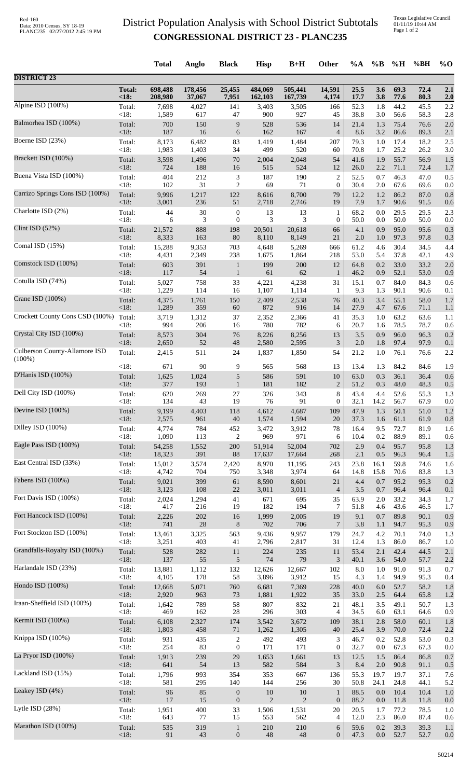## District Population Analysis with School District Subtotals **CONGRESSIONAL DISTRICT 23 - PLANC235**

Texas Legislative Council 01/11/19 10:44 AM Page 1 of 2

|                                 |                 | <b>Total</b>    | Anglo        | <b>Black</b>                | <b>Hisp</b>     | $B+H$           | Other            | %A          | $\%B$      | %H           | %BH          | $%$ <sup>O</sup> |
|---------------------------------|-----------------|-----------------|--------------|-----------------------------|-----------------|-----------------|------------------|-------------|------------|--------------|--------------|------------------|
| <b>DISTRICT 23</b>              |                 |                 |              |                             |                 |                 |                  |             |            |              |              |                  |
|                                 | <b>Total:</b>   | 698,488         | 178,456      | 25,455                      | 484,069         | 505,441         | 14,591           | 25.5        | 3.6        | 69.3         | 72.4         | 2.1              |
|                                 | < 18:           | 208,980         | 37,067       | 7,951                       | 162,103         | 167,739         | 4,174            | 17.7        | 3.8        | 77.6         | 80.3         | 2.0              |
| Alpine ISD (100%)               | Total:          | 7,698           | 4,027        | 141                         | 3,403           | 3,505           | 166              | 52.3        | 1.8        | 44.2         | 45.5         | 2.2              |
|                                 | < 18:           | 1,589           | 617          | 47                          | 900             | 927             | 45               | 38.8        | 3.0        | 56.6         | 58.3         | 2.8              |
| Balmorhea ISD (100%)            | Total:          | 700             | 150          | 9                           | 528             | 536             | 14               | 21.4        | 1.3        | 75.4         | 76.6         | 2.0              |
|                                 | < 18:           | 187             | 16           | $\sqrt{6}$                  | 162             | 167             | $\overline{4}$   | 8.6         | 3.2        | 86.6         | 89.3         | 2.1              |
| Boerne ISD (23%)                | Total:          | 8,173           | 6,482        | 83                          | 1,419           | 1,484           | 207              | 79.3        | 1.0        | 17.4         | 18.2         | 2.5              |
| Brackett ISD (100%)             | < 18:           | 1,983           | 1,403        | 34                          | 499             | 520             | 60               | 70.8        | 1.7        | 25.2         | 26.2         | 3.0              |
|                                 | Total:          | 3,598           | 1,496        | $70\,$                      | 2,004           | 2,048           | 54               | 41.6        | 1.9        | 55.7         | 56.9         | 1.5              |
| Buena Vista ISD (100%)          | < 18:           | 724             | 188          | 16                          | 515             | 524             | 12               | 26.0        | 2.2        | 71.1         | 72.4         | 1.7              |
|                                 | Total:          | 404             | 212          | $\ensuremath{\mathfrak{Z}}$ | 187             | 190             | $\overline{c}$   | 52.5        | 0.7        | 46.3         | 47.0         | 0.5              |
| Carrizo Springs Cons ISD (100%) | < 18:           | 102             | 31           | $\overline{2}$              | 69              | 71              | $\overline{0}$   | 30.4        | 2.0        | 67.6         | 69.6         | 0.0              |
|                                 | Total:          | 9,996           | 1,217        | 122                         | 8,616           | 8,700           | 79               | 12.2        | 1.2        | 86.2         | 87.0         | 0.8              |
| Charlotte ISD (2%)              | < 18:           | 3,001           | 236          | 51                          | 2,718           | 2,746           | 19               | 7.9         | 1.7        | 90.6         | 91.5         | 0.6              |
|                                 | Total:          | $44\,$          | 30           | $\boldsymbol{0}$            | 13              | 13              | $\mathbf{1}$     | 68.2        | 0.0        | 29.5         | 29.5         | 2.3              |
|                                 | < 18:           | 6               | 3            | $\boldsymbol{0}$            | 3               | 3               | $\boldsymbol{0}$ | 50.0        | 0.0        | 50.0         | 50.0         | 0.0              |
| Clint ISD $(52%)$               | Total:          | 21,572          | 888          | 198                         | 20,501          | 20,618          | 66               | 4.1         | 0.9        | 95.0         | 95.6         | 0.3              |
|                                 | < 18:           | 8,333           | 163          | 80                          | 8,110           | 8,149           | 21               | 2.0         | 1.0        | 97.3         | 97.8         | 0.3              |
| Comal ISD (15%)                 | Total:          | 15,288          | 9,353        | 703                         | 4,648           | 5,269           | 666              | 61.2        | 4.6        | 30.4         | 34.5         | 4.4              |
|                                 | < 18:           | 4,431           | 2,349        | 238                         | 1,675           | 1,864           | 218              | 53.0        | 5.4        | 37.8         | 42.1         | 4.9              |
| Comstock ISD (100%)             | Total:          | 603             | 391          | $\mathbf 1$                 | 199             | 200             | 12               | 64.8        | 0.2        | 33.0         | 33.2         | 2.0              |
|                                 | < 18:           | 117             | 54           | $\mathbf{1}$                | 61              | 62              | 1                | 46.2        | 0.9        | 52.1         | 53.0         | 0.9              |
| Cotulla ISD (74%)               | Total:          | 5,027           | 758          | 33                          | 4,221           | 4,238           | 31               | 15.1        | 0.7        | 84.0         | 84.3         | 0.6              |
| Crane ISD (100%)                | < 18:           | 1,229           | 114          | 16                          | 1,107           | 1,114           | 1                | 9.3         | 1.3        | 90.1         | 90.6         | 0.1              |
|                                 | Total:          | 4,375           | 1,761        | 150                         | 2,409           | 2,538           | 76               | 40.3        | 3.4        | 55.1         | 58.0         | 1.7              |
| Crockett County Cons CSD (100%) | < 18:           | 1,289           | 359          | 60                          | 872             | 916             | 14               | 27.9        | 4.7        | 67.6         | 71.1         | 1.1              |
|                                 | Total:          | 3,719           | 1,312        | 37                          | 2,352           | 2,366           | 41               | 35.3        | 1.0        | 63.2         | 63.6         | 1.1              |
| Crystal City ISD (100%)         | < 18:           | 994             | 206          | 16                          | 780             | 782             | 6                | 20.7        | 1.6        | 78.5         | 78.7         | 0.6              |
|                                 | Total:          | 8,573           | 304          | 76                          | 8,226           | 8,256           | 13               | 3.5         | 0.9        | 96.0         | 96.3         | 0.2              |
|                                 | < 18:           | 2,650           | 52           | 48                          | 2,580           | 2,595           | 3                | 2.0         | 1.8        | 97.4         | 97.9         | 0.1              |
| Culberson County-Allamore ISD   | Total:          | 2,415           | 511          | 24                          | 1,837           | 1,850           | 54               | 21.2        | 1.0        | 76.1         | 76.6         | 2.2              |
| $(100\%)$                       | < 18:           | 671             | 90           | 9                           | 565             | 568             | 13               | 13.4        | 1.3        | 84.2         | 84.6         | 1.9              |
| D'Hanis ISD (100%)              | Total:          | 1,625           | 1,024        | $\sqrt{5}$                  | 586             | 591             | 10               | 63.0        | 0.3        | 36.1         | 36.4         | 0.6              |
| Dell City ISD (100%)            | < 18:           | 377             | 193          | $\mathbf{1}$                | 181             | 182             | $\overline{2}$   | 51.2        | 0.3        | 48.0         | 48.3         | 0.5              |
|                                 | Total:          | 620             | 269          | $27\,$                      | 326             | 343             | $\,8$            | 43.4        | 4.4        | 52.6         | 55.3         | 1.3              |
| Devine ISD (100%)               | <18:            | 134             | 43           | 19                          | 76              | 91              | $\overline{0}$   | 32.1        | 14.2       | 56.7         | 67.9         | 0.0              |
|                                 | Total:          | 9,199           | 4,403        | 118                         | 4,612           | 4,687           | 109              | 47.9        | 1.3        | 50.1         | 51.0         | 1.2              |
| Dilley ISD (100%)               | < 18:           | 2,575           | 961          | 40                          | 1,574           | 1,594           | 20               | 37.3        | 1.6        | 61.1         | 61.9         | 0.8              |
|                                 | Total:          | 4,774           | 784          | 452                         | 3,472           | 3,912           | 78               | 16.4        | 9.5        | 72.7         | 81.9         | 1.6              |
|                                 | < 18:           | 1,090           | 113          | $\boldsymbol{2}$            | 969             | 971             | 6                | 10.4        | 0.2        | 88.9         | 89.1         | 0.6              |
| Eagle Pass ISD (100%)           | Total:          | 54,258          | 1,552        | 200                         | 51,914          | 52,004          | 702              | 2.9         | 0.4        | 95.7         | 95.8         | 1.3              |
|                                 | < 18:           | 18,323          | 391          | 88                          | 17,637          | 17,664          | 268              | 2.1         | 0.5        | 96.3         | 96.4         | 1.5              |
| East Central ISD (33%)          | Total:          | 15,012          | 3,574        | 2,420                       | 8,970           | 11,195          | 243              | 23.8        | 16.1       | 59.8         | 74.6         | 1.6              |
|                                 | < 18:           | 4,742           | 704          | 750                         | 3,348           | 3,974           | 64               | 14.8        | 15.8       | 70.6         | 83.8         | 1.3              |
| Fabens ISD (100%)               | Total:          | 9,021           | 399          | 61                          | 8,590           | 8,601           | 21               | 4.4         | 0.7        | 95.2         | 95.3         | 0.2              |
|                                 | <18:            | 3,123           | 108          | $22\,$                      | 3,011           | 3,011           | $\overline{4}$   | 3.5         | 0.7        | 96.4         | 96.4         | 0.1              |
| Fort Davis ISD (100%)           | Total:<br><18:  | 2,024<br>417    | 1,294        | 41                          | 671<br>182      | 695<br>194      | 35<br>$\tau$     | 63.9        | 2.0        | 33.2         | 34.3         | 1.7              |
| Fort Hancock ISD (100%)         | Total:          | 2,226           | 216<br>202   | 19<br>16                    | 1,999           | 2,005           | 19               | 51.8<br>9.1 | 4.6<br>0.7 | 43.6<br>89.8 | 46.5<br>90.1 | 1.7<br>0.9       |
| Fort Stockton ISD (100%)        | <18:            | 741             | 28           | 8                           | 702             | 706             | 7                | 3.8         | 1.1        | 94.7         | 95.3         | 0.9              |
|                                 | Total:          | 13,461          | 3,325        | 563                         | 9,436           | 9,957           | 179              | 24.7        | 4.2        | 70.1         | 74.0         | 1.3              |
| Grandfalls-Royalty ISD (100%)   | < 18:           | 3,251           | 403          | 41                          | 2,796           | 2,817           | 31               | 12.4        | 1.3        | 86.0         | 86.7         | 1.0              |
|                                 | Total:          | 528             | 282          | 11                          | 224             | 235             | 11               | 53.4        | 2.1        | 42.4         | 44.5         | 2.1              |
| Harlandale ISD (23%)            | $<18$ :         | 137             | 55           | $\sqrt{5}$                  | 74              | 79              | 3                | 40.1        | 3.6        | 54.0<br>91.0 | 57.7         | 2.2              |
|                                 | Total:<br>< 18: | 13,881<br>4,105 | 1,112<br>178 | 132<br>58                   | 12,626<br>3,896 | 12,667<br>3,912 | 102<br>15        | 8.0<br>4.3  | 1.0<br>1.4 | 94.9         | 91.3<br>95.3 | 0.7<br>0.4       |
| Hondo ISD (100%)                | Total:          | 12,668          | 5,071        | 760                         | 6,681           | 7,369           | 228              | 40.0        | 6.0        | 52.7         | 58.2         | 1.8              |
|                                 | < 18:           | 2,920           | 963          | 73                          | 1,881           | 1,922           | 35               | 33.0        | 2.5        | 64.4         | 65.8         | 1.2              |
| Iraan-Sheffield ISD (100%)      | Total:          | 1,642           | 789          | 58                          | 807             | 832             | 21               | 48.1        | 3.5        | 49.1         | 50.7         | 1.3              |
|                                 | < 18:           | 469             | 162          | 28                          | 296             | 303             | 4                | 34.5        | 6.0        | 63.1         | 64.6         | 0.9              |
| Kermit ISD (100%)               | Total:          | 6,108           | 2,327        | 174                         | 3,542           | 3,672           | 109              | 38.1        | 2.8        | 58.0         | 60.1         | 1.8              |
|                                 | < 18:           | 1,803           | 458          | 71                          | 1,262           | 1,305           | 40               | 25.4        | 3.9        | 70.0         | 72.4         | 2.2              |
| Knippa ISD (100%)               | Total:          | 931             | 435          | $\sqrt{2}$                  | 492             | 493             | 3                | 46.7        | 0.2        | 52.8         | 53.0         | 0.3              |
|                                 | < 18:           | 254             | 83           | $\boldsymbol{0}$            | 171             | 171             | $\boldsymbol{0}$ | 32.7        | 0.0        | 67.3         | 67.3         | 0.0              |
| La Pryor ISD (100%)             | Total:          | 1,913           | 239          | 29                          | 1,653           | 1,661           | 13               | 12.5        | 1.5        | 86.4         | 86.8         | 0.7              |
| Lackland ISD (15%)              | <18:            | 641             | 54           | 13                          | 582             | 584             | 3                | 8.4         | 2.0        | 90.8         | 91.1         | 0.5              |
|                                 | Total:          | 1,796           | 993          | 354                         | 353             | 667             | 136              | 55.3        | 19.7       | 19.7         | 37.1         | 7.6              |
| Leakey ISD (4%)                 | < 18:           | 581             | 295          | 140                         | 144             | 256             | 30               | 50.8        | 24.1       | 24.8         | 44.1         | 5.2              |
|                                 | Total:          | 96              | 85           | $\boldsymbol{0}$            | 10              | 10              | $\mathbf{1}$     | 88.5        | 0.0        | 10.4         | 10.4         | 1.0              |
| Lytle ISD $(28%)$               | < 18:           | 17              | 15           | $\boldsymbol{0}$            | $\mathbf{2}$    | $\overline{2}$  | $\boldsymbol{0}$ | 88.2        | 0.0        | 11.8         | 11.8         | 0.0              |
|                                 | Total:          | 1,951           | 400          | 33                          | 1,506           | 1,531           | 20               | 20.5        | 1.7        | 77.2         | 78.5         | 1.0              |
|                                 | $<18$ :         | 643             | 77           | 15                          | 553             | 562             | 4                | 12.0        | 2.3        | 86.0         | 87.4         | 0.6              |
| Marathon ISD (100%)             | Total:          | 535             | 319          | $\mathbf{1}$                | 210             | 210             | 6                | 59.6        | 0.2        | 39.3         | 39.3         | 1.1              |
|                                 | <18:            | 91              | 43           | $\boldsymbol{0}$            | $\sqrt{48}$     | 48              | $\overline{0}$   | 47.3        | 0.0        | 52.7         | 52.7         | 0.0              |